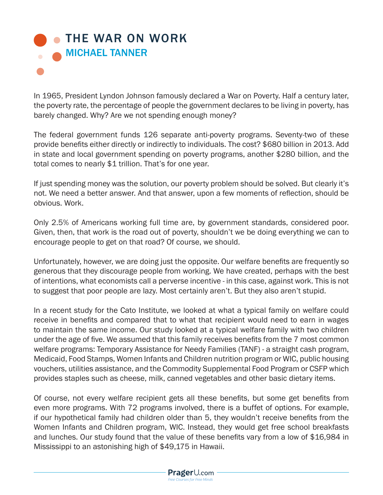## **• [THE WAR ON WORK](www.prageru.com/Economics/The-War-on-Work.html)** MICHAEL TANNER

In 1965, President Lyndon Johnson famously declared a War on Poverty. Half a century later, the poverty rate, the percentage of people the government declares to be living in poverty, has barely changed. Why? Are we not spending enough money?

The federal government funds 126 separate anti-poverty programs. Seventy-two of these provide benefits either directly or indirectly to individuals. The cost? \$680 billion in 2013. Add in state and local government spending on poverty programs, another \$280 billion, and the total comes to nearly \$1 trillion. That's for one year.

If just spending money was the solution, our poverty problem should be solved. But clearly it's not. We need a better answer. And that answer, upon a few moments of reflection, should be obvious. Work.

Only 2.5% of Americans working full time are, by government standards, considered poor. Given, then, that work is the road out of poverty, shouldn't we be doing everything we can to encourage people to get on that road? Of course, we should.

Unfortunately, however, we are doing just the opposite. Our welfare benefits are frequently so generous that they discourage people from working. We have created, perhaps with the best of intentions, what economists call a perverse incentive - in this case, against work. This is not to suggest that poor people are lazy. Most certainly aren't. But they also aren't stupid.

In a recent study for the Cato Institute, we looked at what a typical family on welfare could receive in benefits and compared that to what that recipient would need to earn in wages to maintain the same income. Our study looked at a typical welfare family with two children under the age of five. We assumed that this family receives benefits from the 7 most common welfare programs: Temporary Assistance for Needy Families (TANF) - a straight cash program, Medicaid, Food Stamps, Women Infants and Children nutrition program or WIC, public housing vouchers, utilities assistance, and the Commodity Supplemental Food Program or CSFP which provides staples such as cheese, milk, canned vegetables and other basic dietary items.

Of course, not every welfare recipient gets all these benefits, but some get benefits from even more programs. With 72 programs involved, there is a buffet of options. For example, if our hypothetical family had children older than 5, they wouldn't receive benefits from the Women Infants and Children program, WIC. Instead, they would get free school breakfasts and lunches. Our study found that the value of these benefits vary from a low of \$16,984 in Mississippi to an astonishing high of \$49,175 in Hawaii.